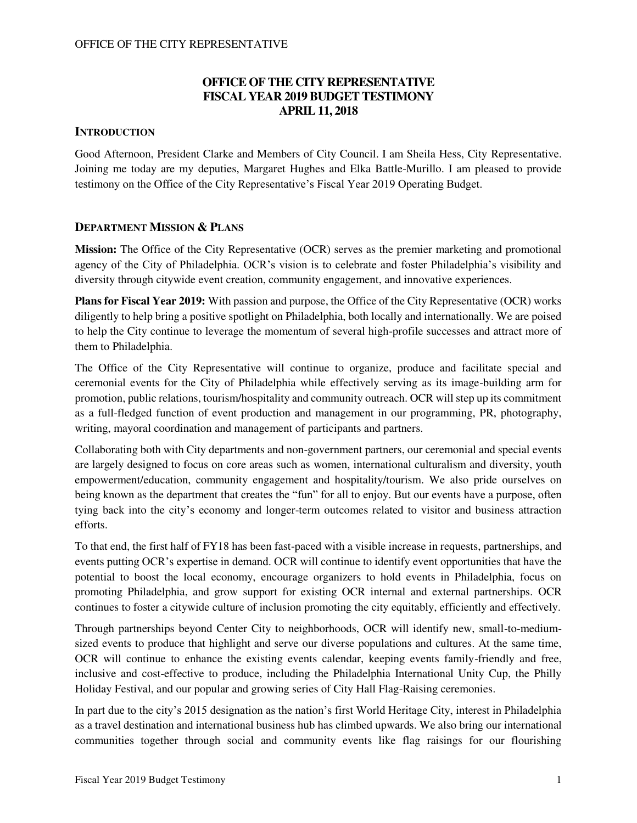## **OFFICE OF THE CITY REPRESENTATIVE FISCAL YEAR 2019 BUDGET TESTIMONY APRIL 11, 2018**

## **INTRODUCTION**

Good Afternoon, President Clarke and Members of City Council. I am Sheila Hess, City Representative. Joining me today are my deputies, Margaret Hughes and Elka Battle-Murillo. I am pleased to provide testimony on the Office of the City Representative's Fiscal Year 2019 Operating Budget.

### **DEPARTMENT MISSION & PLANS**

**Mission:** The Office of the City Representative (OCR) serves as the premier marketing and promotional agency of the City of Philadelphia. OCR's vision is to celebrate and foster Philadelphia's visibility and diversity through citywide event creation, community engagement, and innovative experiences.

**Plans for Fiscal Year 2019:** With passion and purpose, the Office of the City Representative (OCR) works diligently to help bring a positive spotlight on Philadelphia, both locally and internationally. We are poised to help the City continue to leverage the momentum of several high-profile successes and attract more of them to Philadelphia.

The Office of the City Representative will continue to organize, produce and facilitate special and ceremonial events for the City of Philadelphia while effectively serving as its image-building arm for promotion, public relations, tourism/hospitality and community outreach. OCR will step up its commitment as a full-fledged function of event production and management in our programming, PR, photography, writing, mayoral coordination and management of participants and partners.

Collaborating both with City departments and non-government partners, our ceremonial and special events are largely designed to focus on core areas such as women, international culturalism and diversity, youth empowerment/education, community engagement and hospitality/tourism. We also pride ourselves on being known as the department that creates the "fun" for all to enjoy. But our events have a purpose, often tying back into the city's economy and longer-term outcomes related to visitor and business attraction efforts.

To that end, the first half of FY18 has been fast-paced with a visible increase in requests, partnerships, and events putting OCR's expertise in demand. OCR will continue to identify event opportunities that have the potential to boost the local economy, encourage organizers to hold events in Philadelphia, focus on promoting Philadelphia, and grow support for existing OCR internal and external partnerships. OCR continues to foster a citywide culture of inclusion promoting the city equitably, efficiently and effectively.

Through partnerships beyond Center City to neighborhoods, OCR will identify new, small-to-mediumsized events to produce that highlight and serve our diverse populations and cultures. At the same time, OCR will continue to enhance the existing events calendar, keeping events family-friendly and free, inclusive and cost-effective to produce, including the Philadelphia International Unity Cup, the Philly Holiday Festival, and our popular and growing series of City Hall Flag-Raising ceremonies.

In part due to the city's 2015 designation as the nation's first World Heritage City, interest in Philadelphia as a travel destination and international business hub has climbed upwards. We also bring our international communities together through social and community events like flag raisings for our flourishing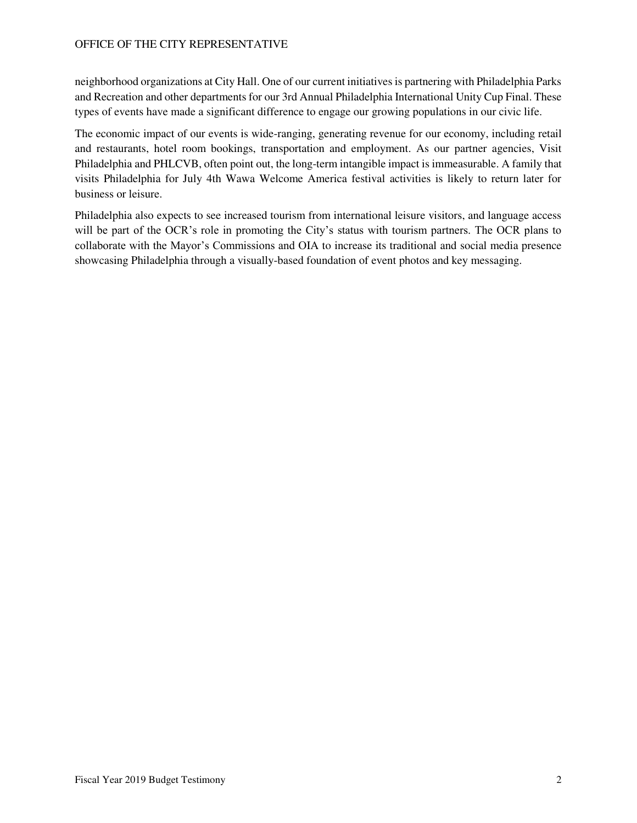neighborhood organizations at City Hall. One of our current initiatives is partnering with Philadelphia Parks and Recreation and other departments for our 3rd Annual Philadelphia International Unity Cup Final. These types of events have made a significant difference to engage our growing populations in our civic life.

The economic impact of our events is wide-ranging, generating revenue for our economy, including retail and restaurants, hotel room bookings, transportation and employment. As our partner agencies, Visit Philadelphia and PHLCVB, often point out, the long-term intangible impact is immeasurable. A family that visits Philadelphia for July 4th Wawa Welcome America festival activities is likely to return later for business or leisure.

Philadelphia also expects to see increased tourism from international leisure visitors, and language access will be part of the OCR's role in promoting the City's status with tourism partners. The OCR plans to collaborate with the Mayor's Commissions and OIA to increase its traditional and social media presence showcasing Philadelphia through a visually-based foundation of event photos and key messaging.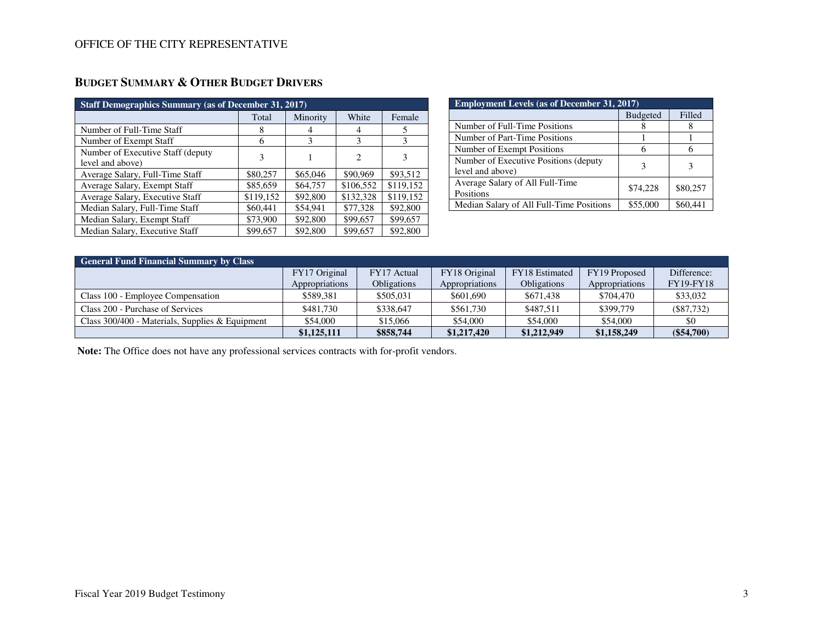## **BUDGET SUMMARY & OTHER BUDGET DRIVERS**

| <b>Staff Demographics Summary (as of December 31, 2017)</b> |           |          |           |           |  |  |
|-------------------------------------------------------------|-----------|----------|-----------|-----------|--|--|
|                                                             | Total     | Minority | White     | Female    |  |  |
| Number of Full-Time Staff                                   | 8         |          | 4         |           |  |  |
| Number of Exempt Staff                                      | 6         | 3        | 3         | 3         |  |  |
| Number of Executive Staff (deputy)<br>level and above)      | 3         |          | 2         | 3         |  |  |
| Average Salary, Full-Time Staff                             | \$80,257  | \$65,046 | \$90,969  | \$93,512  |  |  |
| Average Salary, Exempt Staff                                | \$85,659  | \$64,757 | \$106,552 | \$119.152 |  |  |
| Average Salary, Executive Staff                             | \$119,152 | \$92,800 | \$132,328 | \$119.152 |  |  |
| Median Salary, Full-Time Staff                              | \$60,441  | \$54.941 | \$77,328  | \$92,800  |  |  |
| Median Salary, Exempt Staff                                 | \$73,900  | \$92,800 | \$99,657  | \$99,657  |  |  |
| Median Salary, Executive Staff                              | \$99,657  | \$92,800 | \$99,657  | \$92,800  |  |  |

| <b>Employment Levels (as of December 31, 2017)</b>        |                 |          |  |  |
|-----------------------------------------------------------|-----------------|----------|--|--|
|                                                           | <b>Budgeted</b> | Filled   |  |  |
| Number of Full-Time Positions                             |                 |          |  |  |
| Number of Part-Time Positions                             |                 |          |  |  |
| Number of Exempt Positions                                |                 |          |  |  |
| Number of Executive Positions (deputy<br>level and above) |                 |          |  |  |
| Average Salary of All Full-Time<br>Positions              | \$74,228        | \$80,257 |  |  |
| Median Salary of All Full-Time Positions                  | \$55,000        | \$60.441 |  |  |

| <b>General Fund Financial Summary by Class</b>    |                |                    |                |                    |                |                  |  |
|---------------------------------------------------|----------------|--------------------|----------------|--------------------|----------------|------------------|--|
|                                                   | FY17 Original  | FY17 Actual        | FY18 Original  | FY18 Estimated     | FY19 Proposed  | Difference:      |  |
|                                                   | Appropriations | <b>Obligations</b> | Appropriations | <b>Obligations</b> | Appropriations | <b>FY19-FY18</b> |  |
| Class 100 - Employee Compensation                 | \$589,381      | \$505,031          | \$601,690      | \$671,438          | \$704,470      | \$33,032         |  |
| Class 200 - Purchase of Services                  | \$481.730      | \$338,647          | \$561.730      | \$487.511          | \$399,779      | $(\$87,732)$     |  |
| Class $300/400$ - Materials, Supplies & Equipment | \$54,000       | \$15,066           | \$54,000       | \$54,000           | \$54,000       | \$0              |  |
|                                                   | \$1,125,111    | \$858,744          | \$1,217,420    | \$1,212,949        | \$1,158,249    | $(\$54,700)$     |  |

 **Note:** The Office does not have any professional services contracts with for-profit vendors.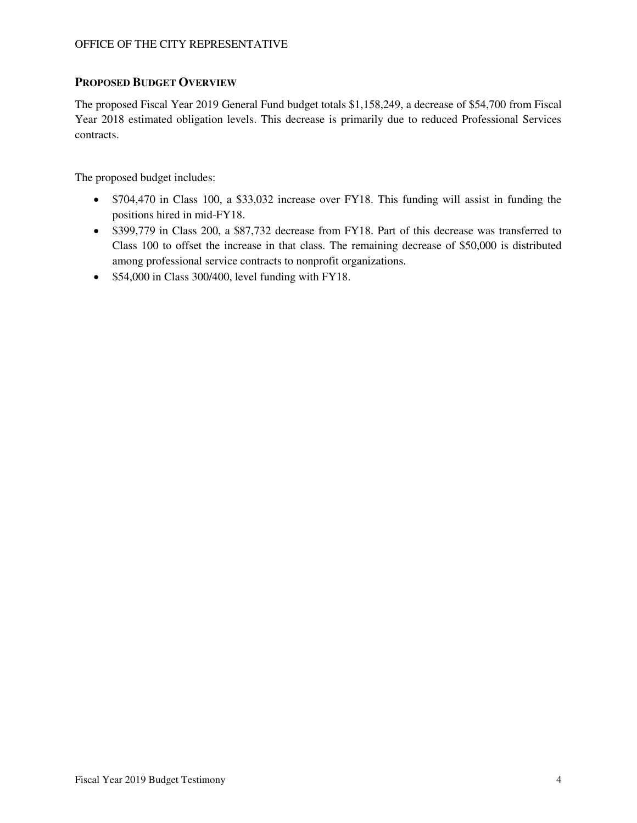### **PROPOSED BUDGET OVERVIEW**

The proposed Fiscal Year 2019 General Fund budget totals \$1,158,249, a decrease of \$54,700 from Fiscal Year 2018 estimated obligation levels. This decrease is primarily due to reduced Professional Services contracts.

The proposed budget includes:

- \$704,470 in Class 100, a \$33,032 increase over FY18. This funding will assist in funding the positions hired in mid-FY18.
- \$399,779 in Class 200, a \$87,732 decrease from FY18. Part of this decrease was transferred to Class 100 to offset the increase in that class. The remaining decrease of \$50,000 is distributed among professional service contracts to nonprofit organizations.
- \$54,000 in Class 300/400, level funding with FY18.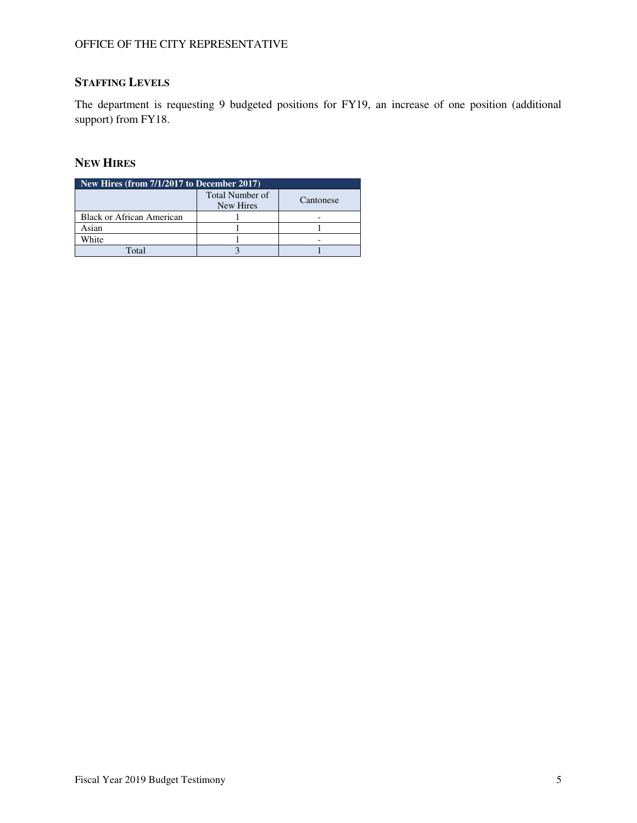# **STAFFING LEVELS**

The department is requesting 9 budgeted positions for FY19, an increase of one position (additional support) from FY18.

# **NEW HIRES**

| New Hires (from $7/1/2017$ to December 2017) |                                     |           |  |  |  |
|----------------------------------------------|-------------------------------------|-----------|--|--|--|
|                                              | <b>Total Number of</b><br>New Hires | Cantonese |  |  |  |
| <b>Black or African American</b>             |                                     |           |  |  |  |
| Asian                                        |                                     |           |  |  |  |
| White                                        |                                     |           |  |  |  |
| $\Gamma_{\alpha \uparrow \alpha}$ l          |                                     |           |  |  |  |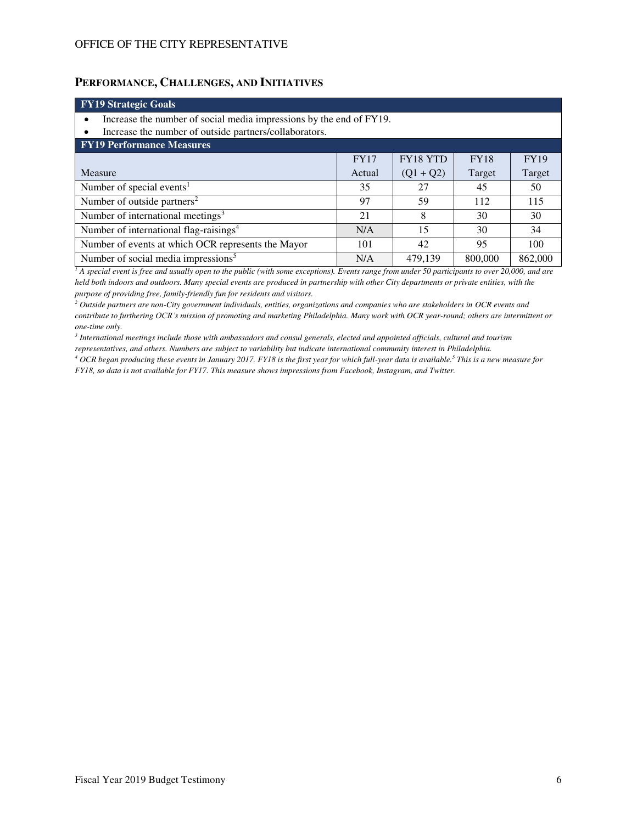### **PERFORMANCE, CHALLENGES, AND INITIATIVES**

| <b>FY19 Strategic Goals</b>                                                             |             |             |             |             |  |  |
|-----------------------------------------------------------------------------------------|-------------|-------------|-------------|-------------|--|--|
| Increase the number of social media impressions by the end of FY19.                     |             |             |             |             |  |  |
| Increase the number of outside partners/collaborators.                                  |             |             |             |             |  |  |
| <b>FY19 Performance Measures</b>                                                        |             |             |             |             |  |  |
|                                                                                         | <b>FY17</b> | FY18 YTD    | <b>FY18</b> | <b>FY19</b> |  |  |
| Measure                                                                                 | Actual      | $(Q1 + Q2)$ | Target      | Target      |  |  |
| Number of special events <sup>1</sup>                                                   | 35          | 27          | 45          | 50          |  |  |
| Number of outside partners <sup>2</sup>                                                 | 97          | 59          | 112         | 115         |  |  |
| Number of international meetings <sup>3</sup>                                           | 21          | 8           | 30          | 30          |  |  |
| Number of international flag-raisings <sup>4</sup>                                      | N/A         | 15          | 30          | 34          |  |  |
| Number of events at which OCR represents the Mayor<br>101<br>42<br>95<br>100            |             |             |             |             |  |  |
| Number of social media impressions <sup>5</sup><br>800,000<br>479.139<br>862,000<br>N/A |             |             |             |             |  |  |

<sup>1</sup> A special event is free and usually open to the public (with some exceptions). Events range from under 50 participants to over 20,000, and are *held both indoors and outdoors. Many special events are produced in partnership with other City departments or private entities, with the purpose of providing free, family-friendly fun for residents and visitors.* 

<sup>2</sup> Outside partners are non-City government individuals, entities, organizations and companies who are stakeholders in OCR events and *contribute to furthering OCR's mission of promoting and marketing Philadelphia. Many work with OCR year-round; others are intermittent or one-time only.* 

*3 International meetings include those with ambassadors and consul generals, elected and appointed officials, cultural and tourism representatives, and others. Numbers are subject to variability but indicate international community interest in Philadelphia.* 

*4 OCR began producing these events in January 2017. FY18 is the first year for which full-year data is available.<sup>5</sup> This is a new measure for FY18, so data is not available for FY17. This measure shows impressions from Facebook, Instagram, and Twitter.*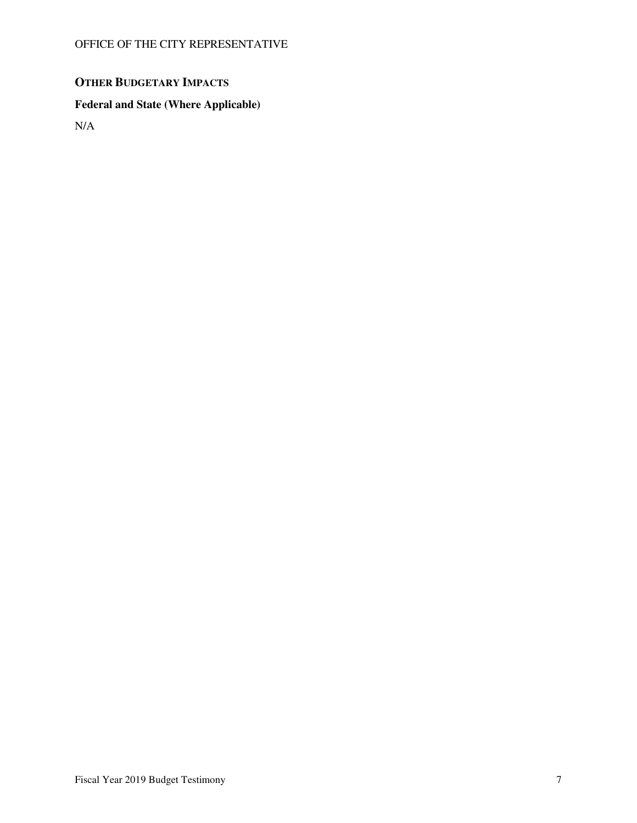# **OTHER BUDGETARY IMPACTS**

## **Federal and State (Where Applicable)**

N/A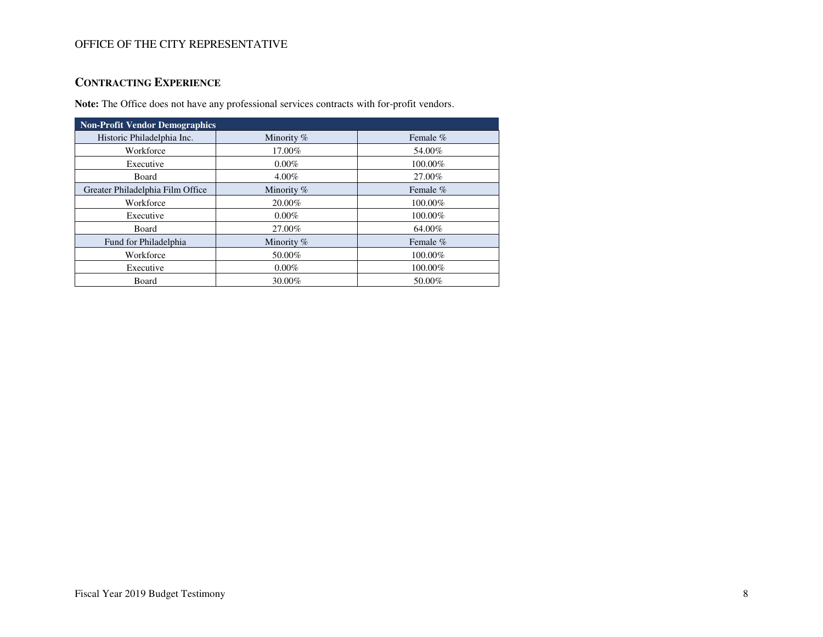## **CONTRACTING EXPERIENCE**

**Note:** The Office does not have any professional services contracts with for-profit vendors.

| <b>Non-Profit Vendor Demographics</b> |              |            |  |  |  |
|---------------------------------------|--------------|------------|--|--|--|
| Historic Philadelphia Inc.            | Minority %   | Female $%$ |  |  |  |
| Workforce                             | 17.00%       | 54.00%     |  |  |  |
| Executive                             | $0.00\%$     | 100.00%    |  |  |  |
| Board                                 | $4.00\%$     | 27.00%     |  |  |  |
| Greater Philadelphia Film Office      | Minority %   | Female $%$ |  |  |  |
| Workforce                             | 20.00%       | 100.00%    |  |  |  |
| Executive                             | $0.00\%$     | 100.00%    |  |  |  |
| <b>Board</b>                          | 27.00%       | 64.00%     |  |  |  |
| Fund for Philadelphia                 | Minority $%$ | Female $%$ |  |  |  |
| Workforce                             | 50.00%       | 100.00%    |  |  |  |
| Executive                             | $0.00\%$     | 100.00%    |  |  |  |
| Board                                 | 30.00%       | 50.00%     |  |  |  |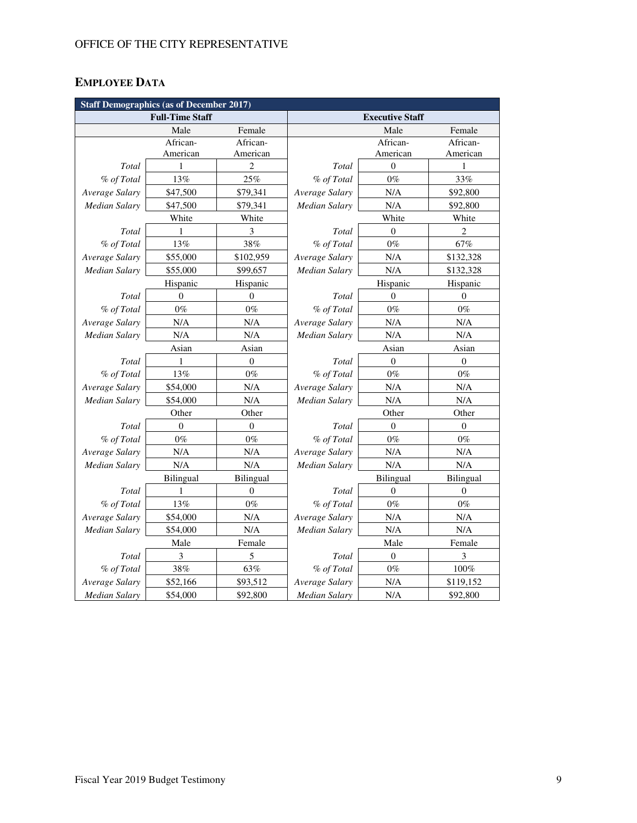# **EMPLOYEE DATA**

| <b>Staff Demographics (as of December 2017)</b> |                |                  |                        |                |                  |  |
|-------------------------------------------------|----------------|------------------|------------------------|----------------|------------------|--|
| <b>Full-Time Staff</b>                          |                |                  | <b>Executive Staff</b> |                |                  |  |
|                                                 | Male           | Female           |                        | Male           | Female           |  |
|                                                 | African-       | African-         |                        | African-       | African-         |  |
|                                                 | American       | American         |                        | American       | American         |  |
| Total                                           | 1              | 2                | Total                  | $\overline{0}$ | 1                |  |
| % of Total                                      | 13%            | 25%              | % of Total             | $0\%$          | 33%              |  |
| Average Salary                                  | \$47,500       | \$79,341         | Average Salary         | N/A            | \$92,800         |  |
| <b>Median Salary</b>                            | \$47,500       | \$79,341         | Median Salary          | N/A            | \$92,800         |  |
|                                                 | White          | White            |                        | White          | White            |  |
| Total                                           | 1              | 3                | Total                  | $\overline{0}$ | $\overline{c}$   |  |
| % of Total                                      | 13%            | 38%              | % of Total             | $0\%$          | 67%              |  |
| Average Salary                                  | \$55,000       | \$102,959        | Average Salary         | N/A            | \$132,328        |  |
| <b>Median Salary</b>                            | \$55,000       | \$99,657         | Median Salary          | N/A            | \$132,328        |  |
|                                                 | Hispanic       | Hispanic         |                        | Hispanic       | Hispanic         |  |
| Total                                           | $\Omega$       | $\theta$         | Total                  | $\Omega$       | $\theta$         |  |
| % of Total                                      | $0\%$          | $0\%$            | % of Total             | $0\%$          | $0\%$            |  |
| Average Salary                                  | N/A            | N/A              | Average Salary         | N/A            | $\rm N/A$        |  |
| <b>Median Salary</b>                            | N/A            | N/A              | <b>Median Salary</b>   | N/A            | N/A              |  |
|                                                 | Asian          | Asian            |                        | Asian          | Asian            |  |
| Total                                           | 1              | $\boldsymbol{0}$ | Total                  | $\mathbf{0}$   | $\boldsymbol{0}$ |  |
| % of Total                                      | 13%            | $0\%$            | % of Total             | $0\%$          | $0\%$            |  |
| Average Salary                                  | \$54,000       | N/A              | Average Salary         | N/A            | N/A              |  |
| <b>Median Salary</b>                            | \$54,000       | N/A              | <b>Median Salary</b>   | N/A            | N/A              |  |
|                                                 | Other          | Other            |                        | Other          | Other            |  |
| Total                                           | $\overline{0}$ | $\boldsymbol{0}$ | Total                  | $\theta$       | $\mathbf{0}$     |  |
| % of Total                                      | $0\%$          | $0\%$            | % of Total             | $0\%$          | $0\%$            |  |
| Average Salary                                  | N/A            | N/A              | Average Salary         | N/A            | N/A              |  |
| <b>Median Salary</b>                            | N/A            | N/A              | Median Salary          | N/A            | $\rm N/A$        |  |
|                                                 | Bilingual      | Bilingual        |                        | Bilingual      | Bilingual        |  |
| Total                                           | 1              | $\mathbf{0}$     | Total                  | $\Omega$       | $\mathbf{0}$     |  |
| % of Total                                      | 13%            | $0\%$            | % of Total             | $0\%$          | $0\%$            |  |
| Average Salary                                  | \$54,000       | N/A              | Average Salary         | N/A            | N/A              |  |
| Median Salary                                   | \$54,000       | N/A              | Median Salary          | N/A            | N/A              |  |
|                                                 | Male           | Female           |                        | Male           | Female           |  |
| Total                                           | 3              | 5                | Total                  | $\mathbf{0}$   | 3                |  |
| % of Total                                      | 38%            | 63%              | % of Total             | $0\%$          | $100\%$          |  |
| Average Salary                                  | \$52,166       | \$93,512         | Average Salary         | N/A            | \$119,152        |  |
| <b>Median Salary</b>                            | \$54,000       | \$92,800         | <b>Median Salary</b>   | N/A            | \$92,800         |  |